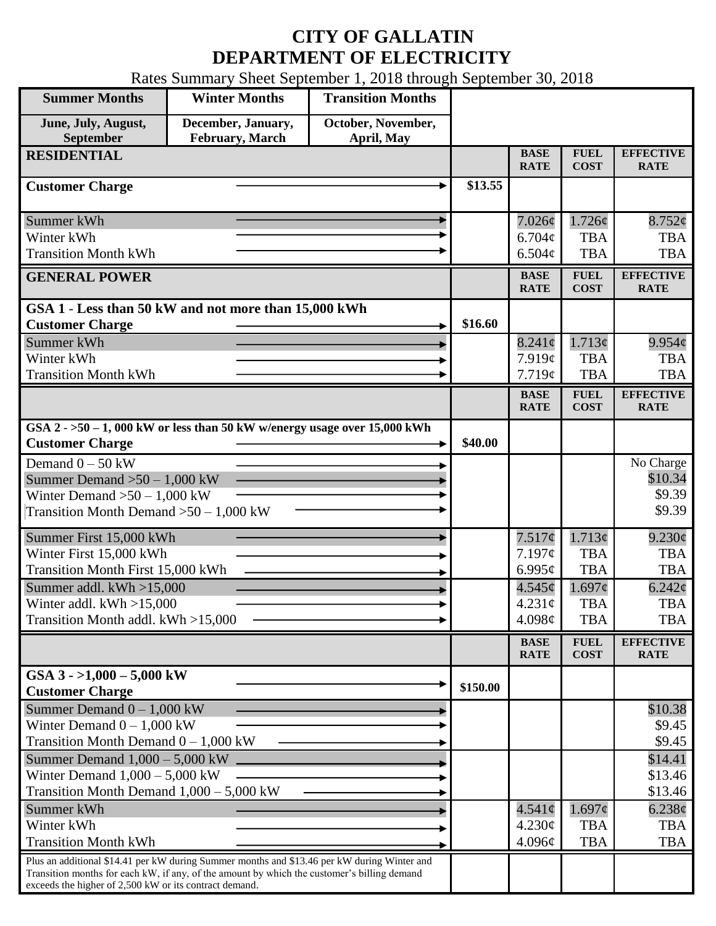## **CITY OF GALLATIN DEPARTMENT OF ELECTRICITY**

Rates Summary Sheet September 1, 2018 through September 30, 2018

| <b>Summer Months</b>                                                                                                                                                                                                                                 | <b>Winter Months</b>                                                        | <b>Transition Months</b>         |          |                            |                                               |                                 |
|------------------------------------------------------------------------------------------------------------------------------------------------------------------------------------------------------------------------------------------------------|-----------------------------------------------------------------------------|----------------------------------|----------|----------------------------|-----------------------------------------------|---------------------------------|
| June, July, August,<br>September                                                                                                                                                                                                                     | December, January,<br><b>February, March</b>                                | October, November,<br>April, May |          |                            |                                               |                                 |
| <b>RESIDENTIAL</b>                                                                                                                                                                                                                                   |                                                                             |                                  |          | <b>BASE</b><br><b>RATE</b> | <b>FUEL</b><br><b>COST</b>                    | <b>EFFECTIVE</b><br><b>RATE</b> |
| <b>Customer Charge</b>                                                                                                                                                                                                                               |                                                                             |                                  | \$13.55  |                            |                                               |                                 |
| Summer kWh                                                                                                                                                                                                                                           |                                                                             |                                  |          | $7.026\phi$                | 1.726¢                                        | $8.752\phi$                     |
| Winter kWh                                                                                                                                                                                                                                           |                                                                             |                                  |          | $6.704\phi$                | <b>TBA</b>                                    | <b>TBA</b>                      |
| <b>Transition Month kWh</b>                                                                                                                                                                                                                          |                                                                             |                                  |          | 6.504¢                     | <b>TBA</b>                                    | <b>TBA</b>                      |
| <b>GENERAL POWER</b>                                                                                                                                                                                                                                 |                                                                             |                                  |          | <b>BASE</b><br><b>RATE</b> | <b>FUEL</b><br><b>COST</b>                    | <b>EFFECTIVE</b><br><b>RATE</b> |
|                                                                                                                                                                                                                                                      | GSA 1 - Less than 50 kW and not more than 15,000 kWh                        |                                  |          |                            |                                               |                                 |
| <b>Customer Charge</b>                                                                                                                                                                                                                               |                                                                             |                                  | \$16.60  |                            |                                               |                                 |
| Summer kWh                                                                                                                                                                                                                                           |                                                                             |                                  |          | $8.241\phi$                | 1.713¢                                        | $9.954\phi$                     |
| Winter kWh                                                                                                                                                                                                                                           |                                                                             |                                  |          | 7.919¢                     | <b>TBA</b>                                    | <b>TBA</b>                      |
| <b>Transition Month kWh</b>                                                                                                                                                                                                                          |                                                                             |                                  |          | 7.719¢                     | <b>TBA</b>                                    | <b>TBA</b>                      |
|                                                                                                                                                                                                                                                      |                                                                             |                                  |          | <b>BASE</b><br><b>RATE</b> | <b>FUEL</b><br><b>COST</b>                    | <b>EFFECTIVE</b><br><b>RATE</b> |
| <b>Customer Charge</b>                                                                                                                                                                                                                               | GSA $2 - 50 - 1$ , 000 kW or less than 50 kW w/energy usage over 15,000 kWh |                                  | \$40.00  |                            |                                               |                                 |
| Demand $0 - 50$ kW                                                                                                                                                                                                                                   |                                                                             |                                  |          |                            |                                               | No Charge                       |
| Summer Demand $>50-1,000$ kW                                                                                                                                                                                                                         |                                                                             |                                  |          |                            |                                               | \$10.34                         |
| Winter Demand $>50-1,000$ kW                                                                                                                                                                                                                         |                                                                             |                                  |          |                            |                                               | \$9.39                          |
| Transition Month Demand $>50-1,000$ kW                                                                                                                                                                                                               |                                                                             |                                  |          |                            |                                               | \$9.39                          |
| Summer First 15,000 kWh                                                                                                                                                                                                                              |                                                                             |                                  |          | 7.517¢                     | 1.713¢                                        | $9.230\phi$                     |
| Winter First 15,000 kWh                                                                                                                                                                                                                              |                                                                             |                                  |          | 7.197¢                     | <b>TBA</b>                                    | <b>TBA</b>                      |
| Transition Month First 15,000 kWh                                                                                                                                                                                                                    |                                                                             |                                  |          | 6.995 $\mathfrak{c}$       | <b>TBA</b>                                    | <b>TBA</b>                      |
| Summer addl. $kWh > 15,000$                                                                                                                                                                                                                          |                                                                             |                                  |          | 4.545¢                     | $1.697\phi$                                   | $6.242\ell$                     |
| Winter addl. $kWh > 15,000$                                                                                                                                                                                                                          |                                                                             |                                  |          | 4.231c                     | <b>TBA</b>                                    | <b>TBA</b>                      |
| Transition Month addl. kWh >15,000                                                                                                                                                                                                                   |                                                                             |                                  |          | 4.098 $\phi$               | <b>TBA</b>                                    | <b>TBA</b>                      |
|                                                                                                                                                                                                                                                      |                                                                             |                                  |          | <b>BASE</b><br><b>RATE</b> | ${\bf F}{\bf U}{\bf E}{\bf L}$<br><b>COST</b> | <b>EFFECTIVE</b><br><b>RATE</b> |
| GSA $3 - 1,000 - 5,000$ kW<br><b>Customer Charge</b>                                                                                                                                                                                                 |                                                                             |                                  | \$150.00 |                            |                                               |                                 |
| Summer Demand $0 - 1,000$ kW                                                                                                                                                                                                                         |                                                                             |                                  |          |                            |                                               | \$10.38                         |
| Winter Demand $0 - 1,000$ kW                                                                                                                                                                                                                         |                                                                             |                                  |          |                            |                                               | \$9.45                          |
| Transition Month Demand $0 - 1,000$ kW                                                                                                                                                                                                               |                                                                             |                                  |          |                            |                                               | \$9.45                          |
| Summer Demand $1,000 - 5,000$ kW                                                                                                                                                                                                                     |                                                                             |                                  |          |                            |                                               | \$14.41                         |
| Winter Demand $1,000 - 5,000$ kW                                                                                                                                                                                                                     |                                                                             |                                  |          |                            |                                               | \$13.46                         |
| Transition Month Demand $1,000 - 5,000$ kW                                                                                                                                                                                                           |                                                                             |                                  |          |                            |                                               | \$13.46                         |
| Summer kWh                                                                                                                                                                                                                                           |                                                                             |                                  |          | $4.541\phi$                | $1.697\phi$                                   | $6.238\phi$                     |
| Winter kWh                                                                                                                                                                                                                                           |                                                                             |                                  |          | 4.230¢                     | <b>TBA</b>                                    | <b>TBA</b>                      |
| <b>Transition Month kWh</b>                                                                                                                                                                                                                          |                                                                             |                                  |          | 4.096¢                     | <b>TBA</b>                                    | <b>TBA</b>                      |
| Plus an additional \$14.41 per kW during Summer months and \$13.46 per kW during Winter and<br>Transition months for each kW, if any, of the amount by which the customer's billing demand<br>exceeds the higher of 2,500 kW or its contract demand. |                                                                             |                                  |          |                            |                                               |                                 |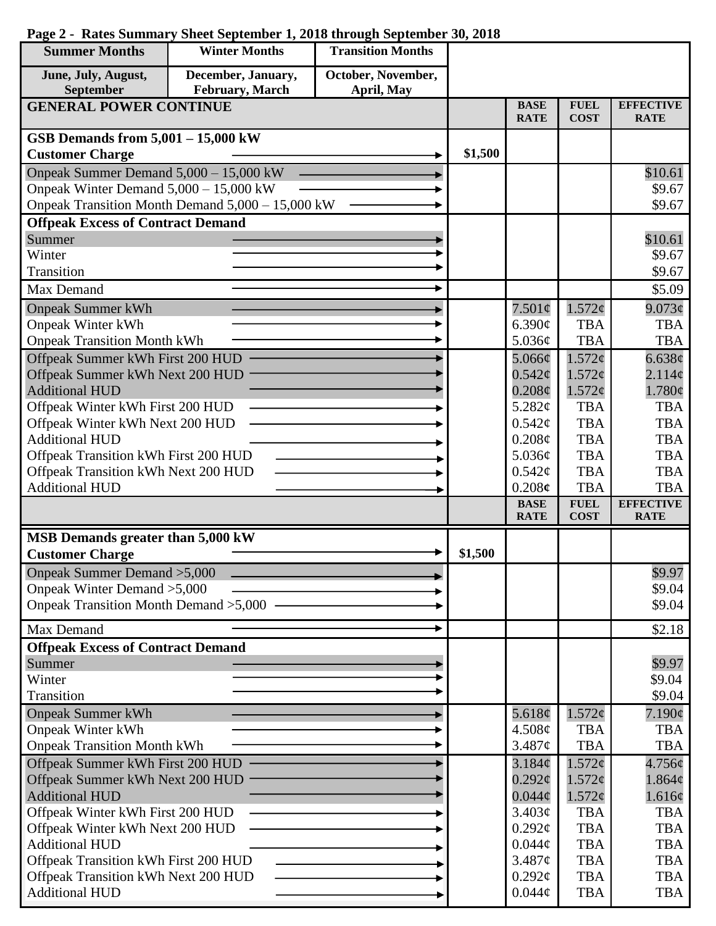| <b>Summer Months</b>                                                   | <b>Winter Months</b>                             | <b>Transition Months</b> |         |                              |                            |                                 |
|------------------------------------------------------------------------|--------------------------------------------------|--------------------------|---------|------------------------------|----------------------------|---------------------------------|
| June, July, August,                                                    | December, January,                               | October, November,       |         |                              |                            |                                 |
| September                                                              | February, March                                  | April, May               |         |                              |                            |                                 |
| <b>GENERAL POWER CONTINUE</b>                                          |                                                  |                          |         | <b>BASE</b><br><b>RATE</b>   | <b>FUEL</b><br><b>COST</b> | <b>EFFECTIVE</b><br><b>RATE</b> |
| GSB Demands from $5,001 - 15,000$ kW                                   |                                                  |                          |         |                              |                            |                                 |
| <b>Customer Charge</b>                                                 |                                                  |                          | \$1,500 |                              |                            |                                 |
| Onpeak Summer Demand 5,000 - 15,000 kW                                 |                                                  |                          |         |                              |                            | \$10.61                         |
| Onpeak Winter Demand $5,000 - 15,000$ kW                               |                                                  |                          |         |                              |                            | \$9.67                          |
|                                                                        | Onpeak Transition Month Demand 5,000 - 15,000 kW |                          |         |                              |                            | \$9.67                          |
| <b>Offpeak Excess of Contract Demand</b>                               |                                                  |                          |         |                              |                            |                                 |
| Summer                                                                 |                                                  |                          |         |                              |                            | \$10.61                         |
| Winter                                                                 |                                                  |                          |         |                              |                            | \$9.67                          |
| Transition                                                             |                                                  |                          |         |                              |                            | \$9.67                          |
| Max Demand                                                             |                                                  |                          |         |                              |                            | \$5.09                          |
| <b>Onpeak Summer kWh</b>                                               |                                                  |                          |         | $7.501\phi$                  | $1.572\phi$                | 9.073¢                          |
| <b>Onpeak Winter kWh</b>                                               |                                                  |                          |         | 6.390¢                       | <b>TBA</b>                 | <b>TBA</b>                      |
| <b>Onpeak Transition Month kWh</b>                                     |                                                  |                          |         | 5.036¢                       | <b>TBA</b>                 | <b>TBA</b>                      |
| Offpeak Summer kWh First 200 HUD                                       |                                                  |                          |         | 5.066¢                       | 1.572¢                     | 6.638¢                          |
| Offpeak Summer kWh Next 200 HUD                                        |                                                  |                          |         | $0.542\varphi$               | 1.572¢                     | 2.114 <sub>c</sub>              |
| <b>Additional HUD</b><br>Offpeak Winter kWh First 200 HUD              |                                                  |                          |         | $0.208\phi$<br>5.282¢        | 1.572¢<br><b>TBA</b>       | 1.780¢<br><b>TBA</b>            |
| Offpeak Winter kWh Next 200 HUD                                        |                                                  |                          |         | $0.542\mathcal{C}$           | <b>TBA</b>                 | <b>TBA</b>                      |
| <b>Additional HUD</b>                                                  |                                                  |                          |         | $0.208\phi$                  | <b>TBA</b>                 | <b>TBA</b>                      |
| Offpeak Transition kWh First 200 HUD                                   |                                                  |                          |         | 5.036¢                       | <b>TBA</b>                 | <b>TBA</b>                      |
| Offpeak Transition kWh Next 200 HUD                                    |                                                  |                          |         | $0.542\mathcal{C}$           | <b>TBA</b>                 | <b>TBA</b>                      |
| <b>Additional HUD</b>                                                  |                                                  |                          |         | 0.208c                       | <b>TBA</b>                 | <b>TBA</b>                      |
|                                                                        |                                                  |                          |         | <b>BASE</b>                  | <b>FUEL</b>                | <b>EFFECTIVE</b>                |
|                                                                        |                                                  |                          |         | <b>RATE</b>                  | <b>COST</b>                | <b>RATE</b>                     |
| MSB Demands greater than 5,000 kW                                      |                                                  |                          |         |                              |                            |                                 |
| <b>Customer Charge</b>                                                 |                                                  |                          | \$1,500 |                              |                            |                                 |
| Onpeak Summer Demand > 5,000                                           |                                                  |                          |         |                              |                            | \$9.97                          |
| Onpeak Winter Demand > 5,000<br>Onpeak Transition Month Demand > 5,000 |                                                  |                          |         |                              |                            | \$9.04<br>\$9.04                |
|                                                                        |                                                  |                          |         |                              |                            |                                 |
| Max Demand                                                             |                                                  |                          |         |                              |                            | \$2.18                          |
| <b>Offpeak Excess of Contract Demand</b>                               |                                                  |                          |         |                              |                            |                                 |
| Summer                                                                 |                                                  |                          |         |                              |                            | \$9.97                          |
| Winter                                                                 |                                                  |                          |         |                              |                            | \$9.04                          |
| Transition                                                             |                                                  |                          |         |                              |                            | \$9.04                          |
| <b>Onpeak Summer kWh</b>                                               |                                                  |                          |         | 5.618 $\phi$                 | 1.572¢                     | $7.190\phi$                     |
| <b>Onpeak Winter kWh</b>                                               |                                                  |                          |         | 4.508¢                       | <b>TBA</b>                 | <b>TBA</b>                      |
| <b>Onpeak Transition Month kWh</b>                                     |                                                  |                          |         | 3.487¢                       | <b>TBA</b>                 | <b>TBA</b>                      |
| Offpeak Summer kWh First 200 HUD                                       |                                                  |                          |         | 3.184¢<br>$0.292\mathcal{C}$ | 1.572¢<br>1.572¢           | 4.756¢                          |
| Offpeak Summer kWh Next 200 HUD<br><b>Additional HUD</b>               |                                                  |                          |         | $0.044\phi$                  | 1.572¢                     | $1.864\phi$<br>1.616¢           |
| Offpeak Winter kWh First 200 HUD                                       |                                                  |                          |         | 3.403¢                       | <b>TBA</b>                 | <b>TBA</b>                      |
| Offpeak Winter kWh Next 200 HUD                                        |                                                  |                          |         | $0.292\mathcal{C}$           | <b>TBA</b>                 | <b>TBA</b>                      |
| <b>Additional HUD</b>                                                  |                                                  |                          |         | $0.044\mathcal{C}$           | <b>TBA</b>                 | <b>TBA</b>                      |
| Offpeak Transition kWh First 200 HUD                                   |                                                  |                          |         | 3.487¢                       | <b>TBA</b>                 | <b>TBA</b>                      |
| Offpeak Transition kWh Next 200 HUD                                    |                                                  |                          |         | $0.292\ell$                  | <b>TBA</b>                 | <b>TBA</b>                      |
| <b>Additional HUD</b>                                                  |                                                  |                          |         | $0.044\phi$                  | <b>TBA</b>                 | <b>TBA</b>                      |

## **Page 2 - Rates Summary Sheet September 1, 2018 through September 30, 2018**